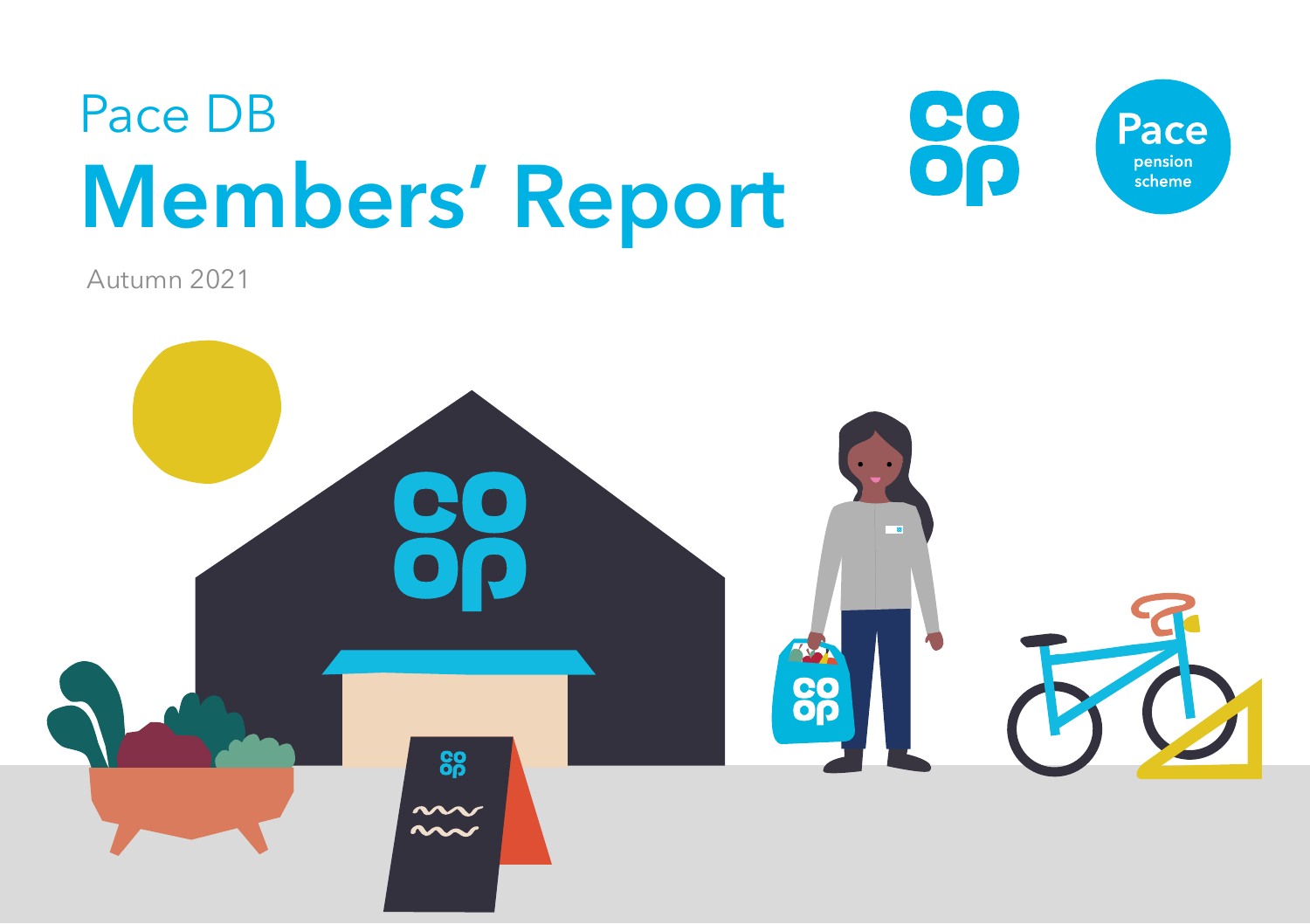

Autumn 2021

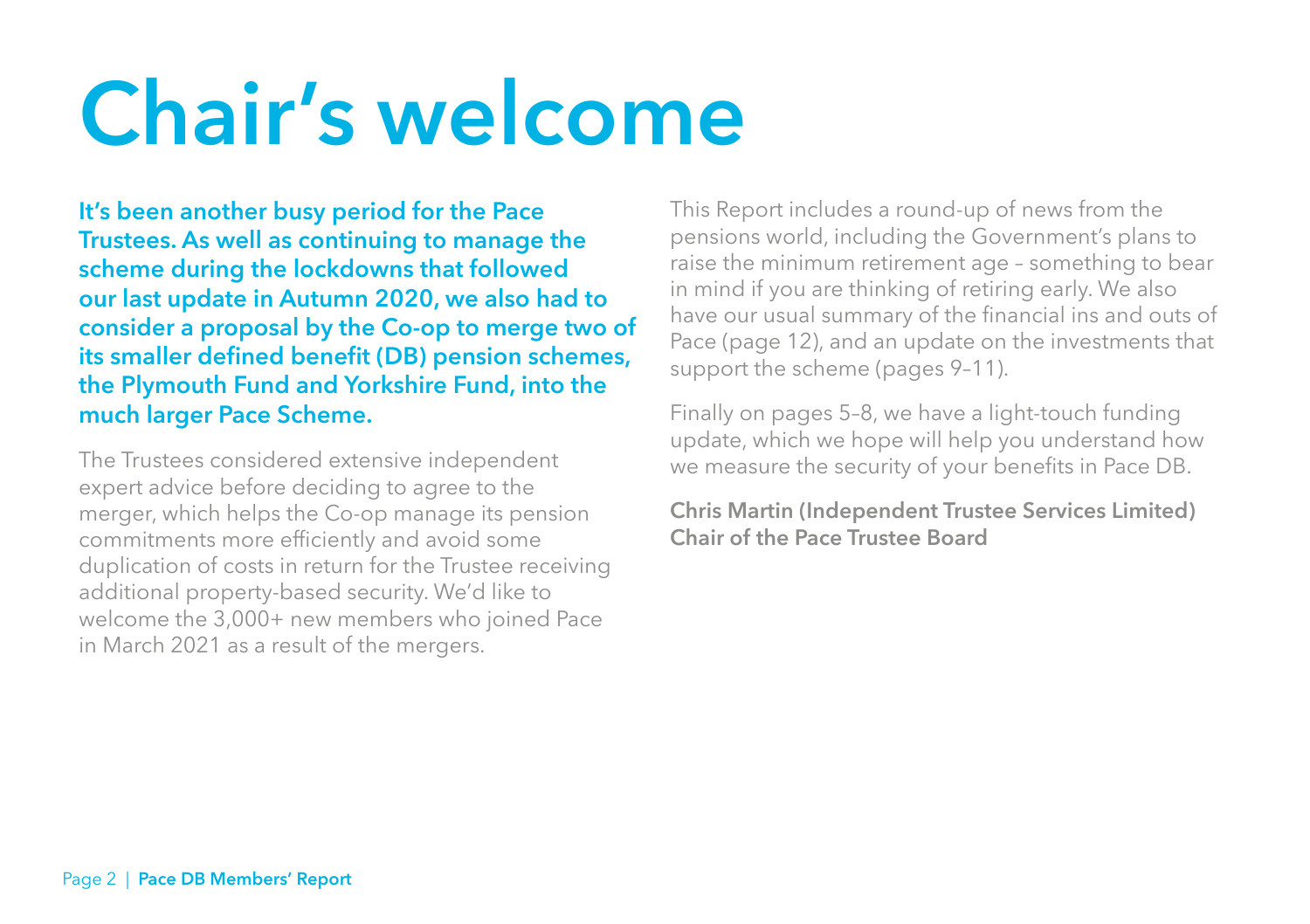# **Chair's welcome**

**It's been another busy period for the Pace Trustees. As well as continuing to manage the scheme during the lockdowns that followed our last update in Autumn 2020, we also had to consider a proposal by the Co-op to merge two of its smaller defined benefit (DB) pension schemes, the Plymouth Fund and Yorkshire Fund, into the much larger Pace Scheme.** 

The Trustees considered extensive independent expert advice before deciding to agree to the merger, which helps the Co-op manage its pension commitments more efficiently and avoid some duplication of costs in return for the Trustee receiving additional property-based security. We'd like to welcome the 3,000+ new members who joined Pace in March 2021 as a result of the mergers.

This Report includes a round-up of news from the pensions world, including the Government's plans to raise the minimum retirement age – something to bear in mind if you are thinking of retiring early. We also have our usual summary of the financial ins and outs of Pace (page 12), and an update on the investments that support the scheme (pages 9–11).

Finally on pages 5–8, we have a light-touch funding update, which we hope will help you understand how we measure the security of your benefits in Pace DB.

**Chris Martin (Independent Trustee Services Limited) Chair of the Pace Trustee Board**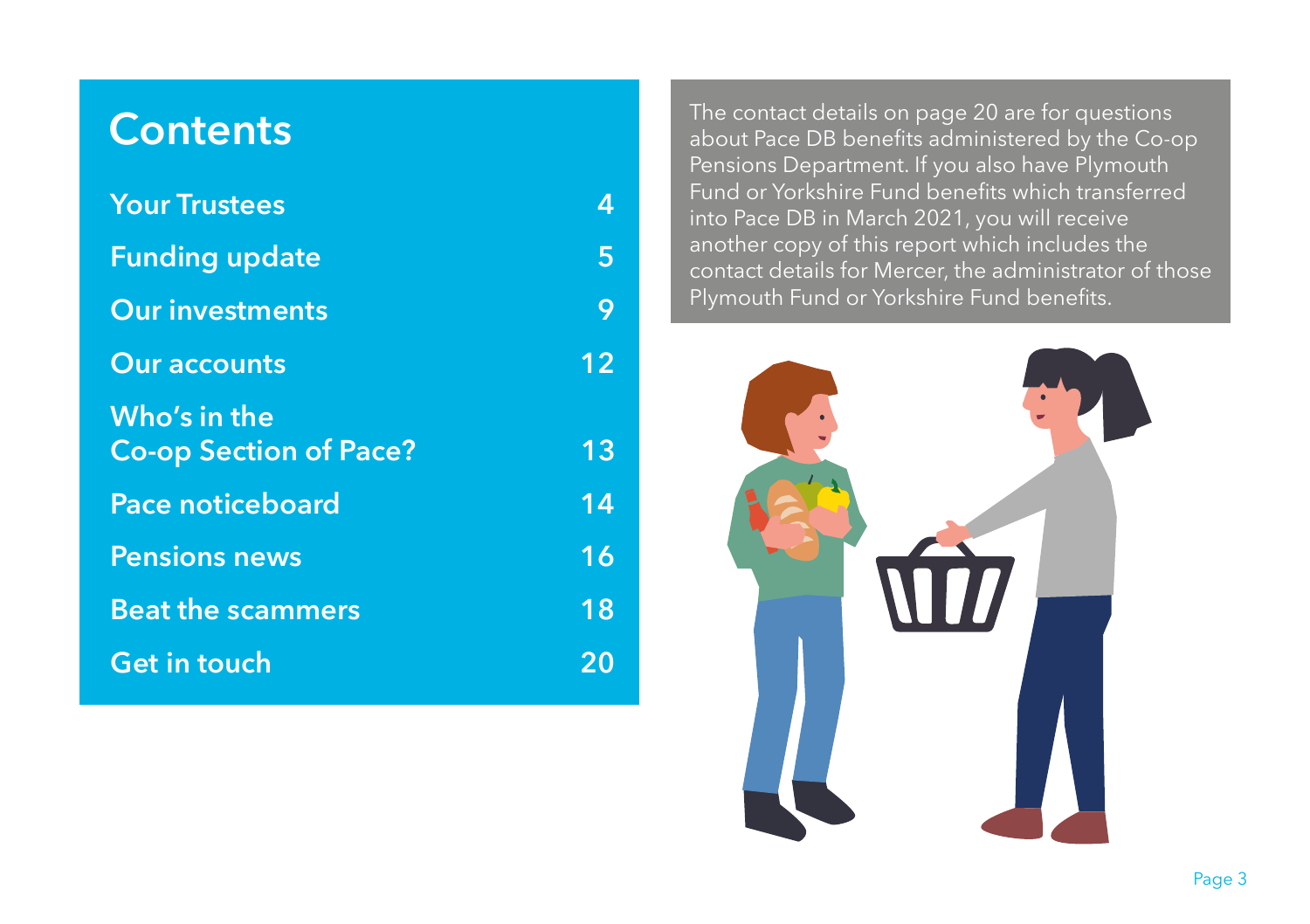### **Contents**

| <b>Your Trustees</b>                          | 4  |
|-----------------------------------------------|----|
| <b>Funding update</b>                         | 5  |
| <b>Our investments</b>                        | 9  |
| <b>Our accounts</b>                           | 12 |
| Who's in the<br><b>Co-op Section of Pace?</b> | 13 |
| <b>Pace noticeboard</b>                       | 14 |
| <b>Pensions news</b>                          | 16 |
| <b>Beat the scammers</b>                      | 18 |
| <b>Get in touch</b>                           | 20 |

The contact details on page 20 are for questions about Pace DB benefits administered by the Co-op Pensions Department. If you also have Plymouth Fund or Yorkshire Fund benefits which transferred into Pace DB in March 2021, you will receive another copy of this report which includes the contact details for Mercer, the administrator of those Plymouth Fund or Yorkshire Fund benefits.

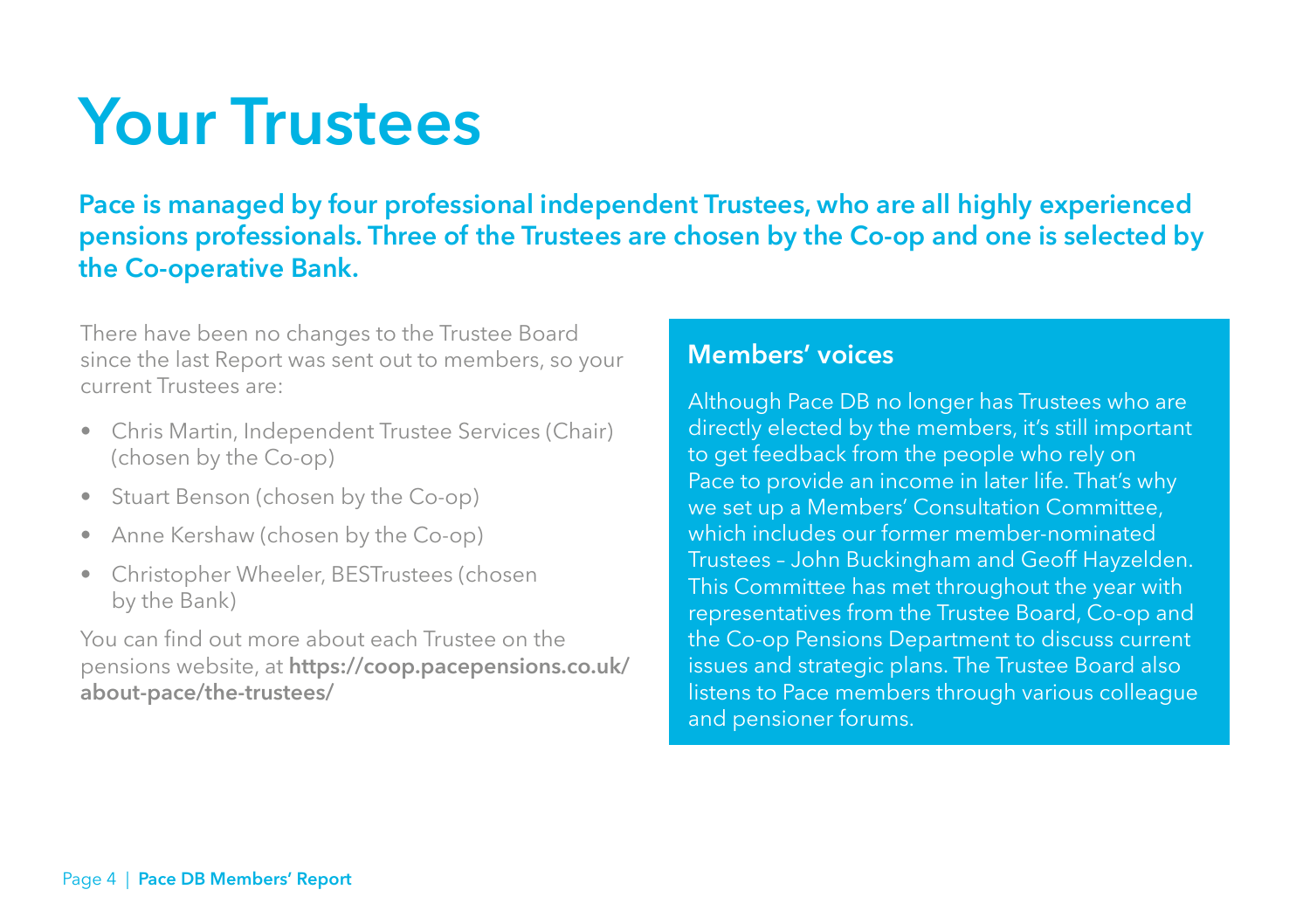### **Your Trustees**

**Pace is managed by four professional independent Trustees, who are all highly experienced pensions professionals. Three of the Trustees are chosen by the Co-op and one is selected by the Co-operative Bank.**

There have been no changes to the Trustee Board since the last Report was sent out to members, so your current Trustees are:

- Chris Martin, Independent Trustee Services (Chair) (chosen by the Co-op)
- Stuart Benson (chosen by the Co-op)
- Anne Kershaw (chosen by the Co-op)
- Christopher Wheeler, BESTrustees (chosen by the Bank)

You can find out more about each Trustee on the pensions website, at **https://coop.pacepensions.co.uk/ about-pace/the-trustees/**

#### **Members' voices**

Although Pace DB no longer has Trustees who are directly elected by the members, it's still important to get feedback from the people who rely on Pace to provide an income in later life. That's why we set up a Members' Consultation Committee, which includes our former member-nominated Trustees – John Buckingham and Geoff Hayzelden. This Committee has met throughout the year with representatives from the Trustee Board, Co-op and the Co-op Pensions Department to discuss current issues and strategic plans. The Trustee Board also listens to Pace members through various colleague and pensioner forums.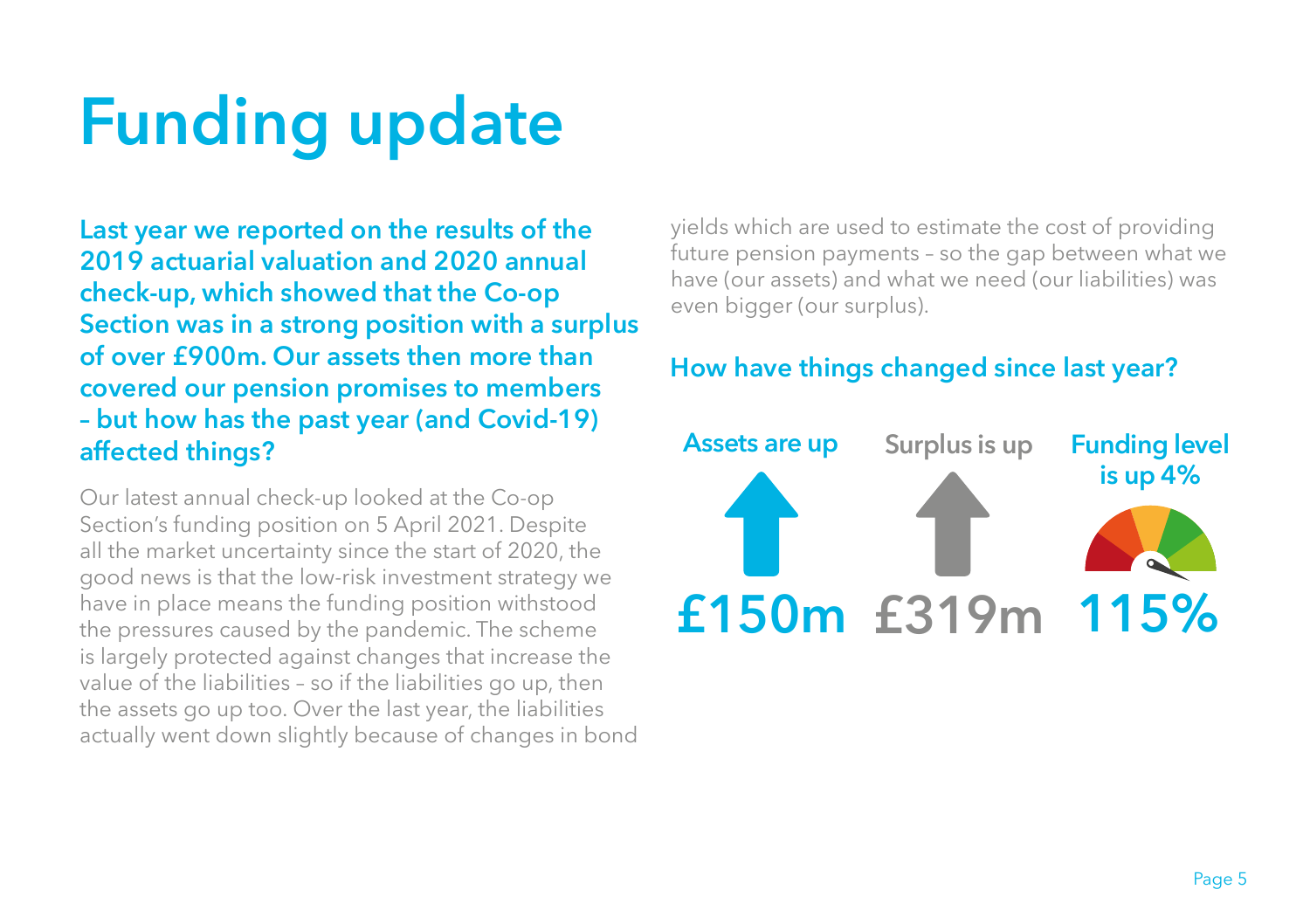## **Funding update**

**Last year we reported on the results of the 2019 actuarial valuation and 2020 annual check-up, which showed that the Co-op Section was in a strong position with a surplus of over £900m. Our assets then more than covered our pension promises to members – but how has the past year (and Covid-19) affected things?** 

Our latest annual check-up looked at the Co-op Section's funding position on 5 April 2021. Despite all the market uncertainty since the start of 2020, the good news is that the low-risk investment strategy we have in place means the funding position withstood the pressures caused by the pandemic. The scheme is largely protected against changes that increase the value of the liabilities – so if the liabilities go up, then the assets go up too. Over the last year, the liabilities actually went down slightly because of changes in bond yields which are used to estimate the cost of providing future pension payments – so the gap between what we have (our assets) and what we need (our liabilities) was even bigger (our surplus).

#### **How have things changed since last year?**

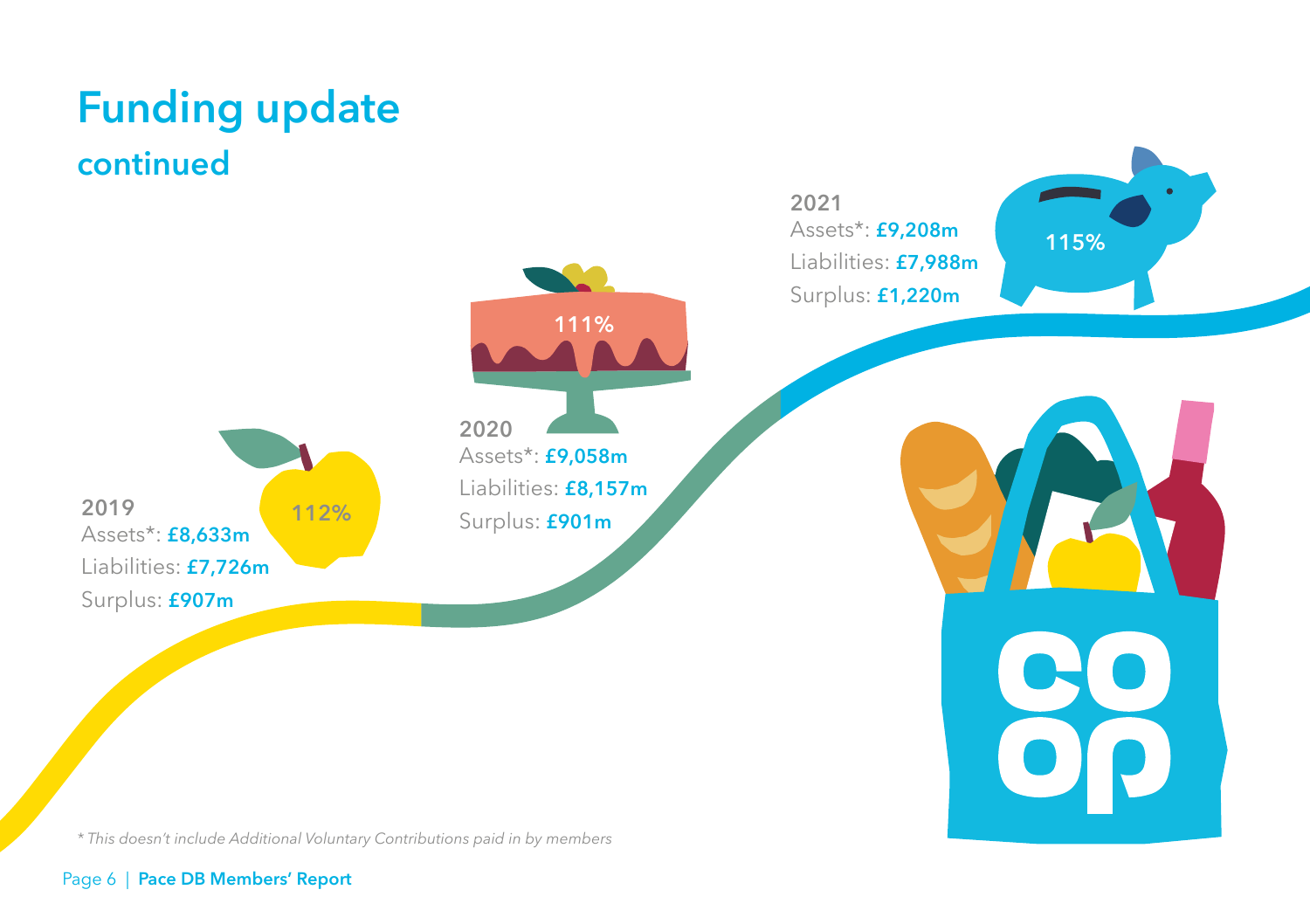### **Funding update continued**

**2019**  Assets\*: **£8,633m** Liabilities: **£7,726m** Surplus: **£907m 112%** **2020**  Assets\*: **£9,058m 111%**

Liabilities: **£8,157m** Surplus: **£901m**

**2021**  Assets\*: **£9,208m** Liabilities: **£7,988m** Surplus: **£1,220m**

**115%**

*\* This doesn't include Additional Voluntary Contributions paid in by members*

#### Page 6 | **Pace DB Members' Report**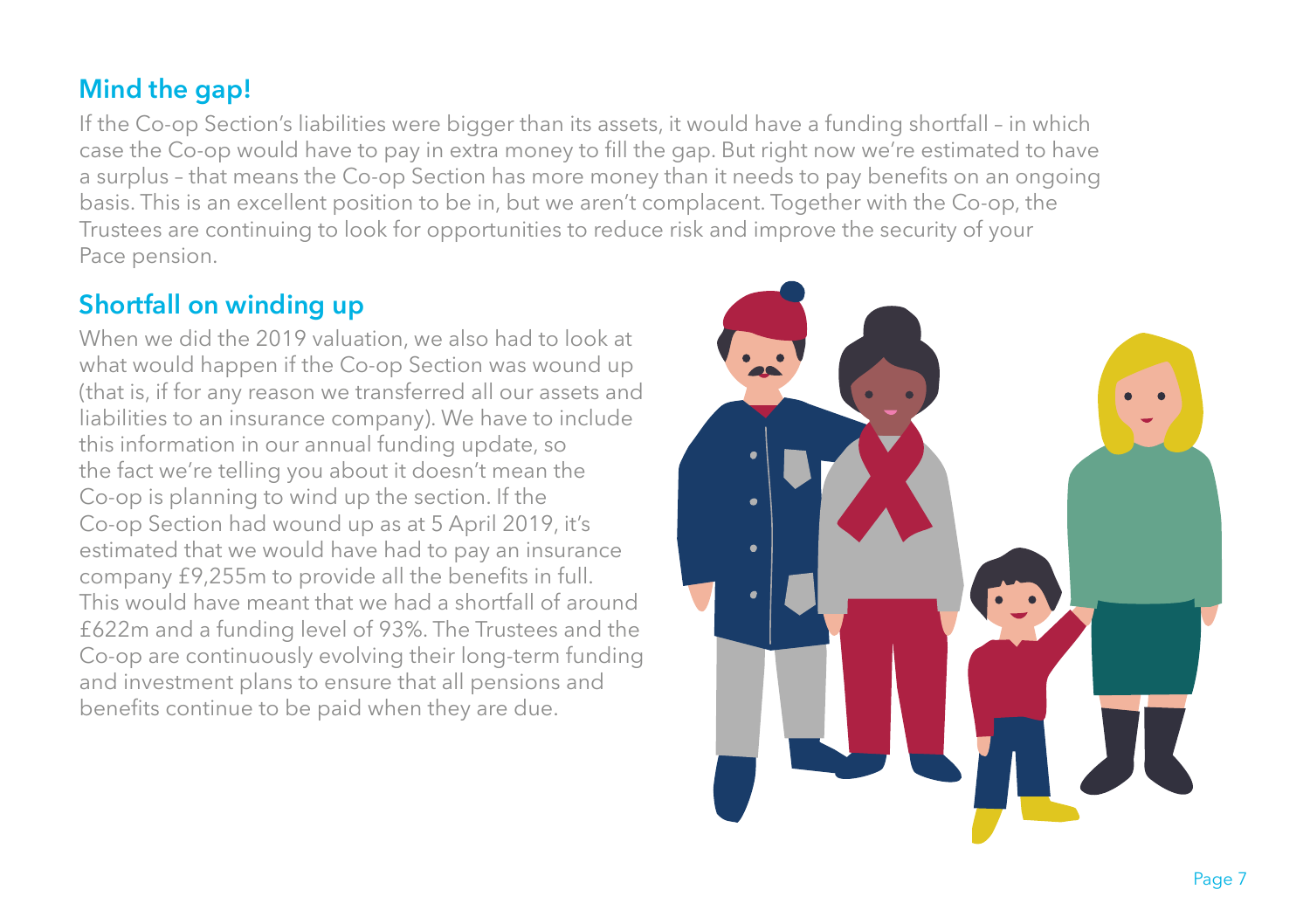#### **Mind the gap!**

If the Co-op Section's liabilities were bigger than its assets, it would have a funding shortfall – in which case the Co-op would have to pay in extra money to fill the gap. But right now we're estimated to have a surplus – that means the Co-op Section has more money than it needs to pay benefits on an ongoing basis. This is an excellent position to be in, but we aren't complacent. Together with the Co-op, the Trustees are continuing to look for opportunities to reduce risk and improve the security of your Pace pension.

#### **Shortfall on winding up**

When we did the 2019 valuation, we also had to look at what would happen if the Co-op Section was wound up (that is, if for any reason we transferred all our assets and liabilities to an insurance company). We have to include this information in our annual funding update, so the fact we're telling you about it doesn't mean the Co-op is planning to wind up the section. If the Co-op Section had wound up as at 5 April 2019, it's estimated that we would have had to pay an insurance company £9,255m to provide all the benefits in full. This would have meant that we had a shortfall of around £622m and a funding level of 93%. The Trustees and the Co-op are continuously evolving their long-term funding and investment plans to ensure that all pensions and benefits continue to be paid when they are due.

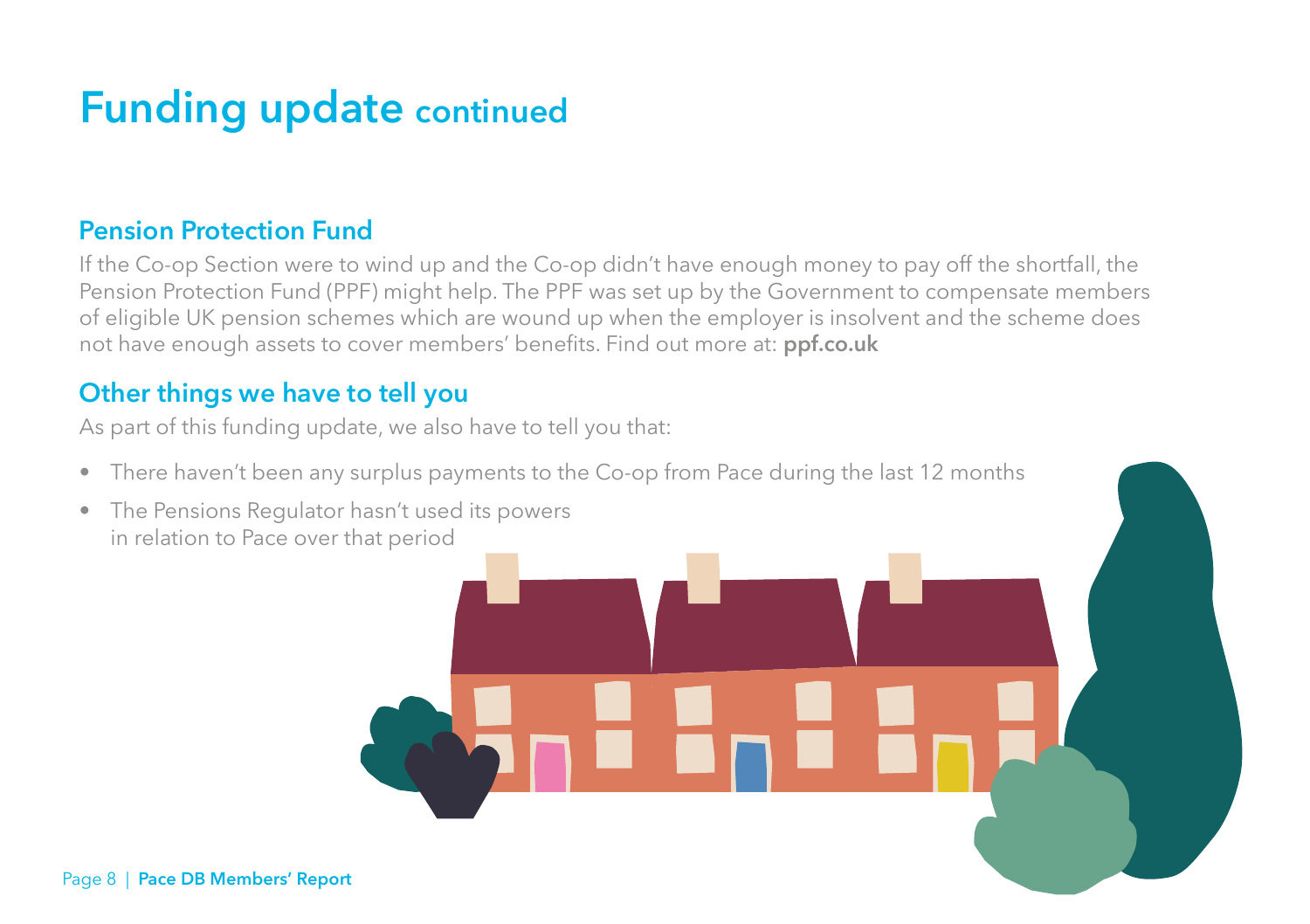### **Funding update continued**

#### **Pension Protection Fund**

If the Co-op Section were to wind up and the Co-op didn't have enough money to pay off the shortfall, the Pension Protection Fund (PPF) might help. The PPF was set up by the Government to compensate members of eligible UK pension schemes which are wound up when the employer is insolvent and the scheme does not have enough assets to cover members' benefits. Find out more at: **ppf.co.uk**

#### **Other things we have to tell you**

As part of this funding update, we also have to tell you that:

- There haven't been any surplus payments to the Co-op from Pace during the last 12 months
- The Pensions Regulator hasn't used its powers in relation to Pace over that period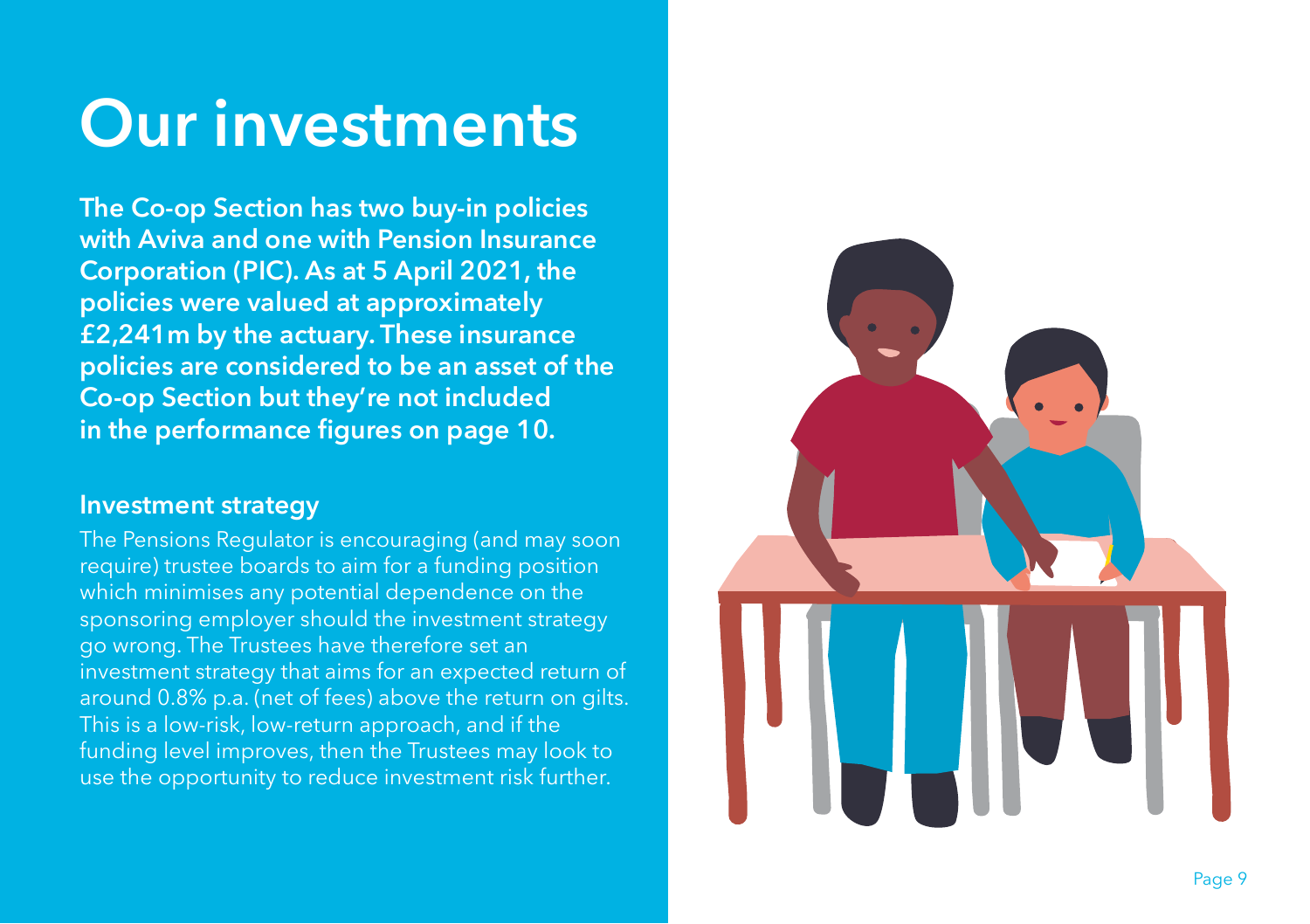## **Our investments**

**The Co-op Section has two buy-in policies with Aviva and one with Pension Insurance Corporation (PIC). As at 5 April 2021, the policies were valued at approximately £2,241m by the actuary. These insurance policies are considered to be an asset of the Co-op Section but they're not included in the performance figures on page 10.**

#### **Investment strategy**

The Pensions Regulator is encouraging (and may soon require) trustee boards to aim for a funding position which minimises any potential dependence on the sponsoring employer should the investment strategy go wrong. The Trustees have therefore set an investment strategy that aims for an expected return of around 0.8% p.a. (net of fees) above the return on gilts. This is a low-risk, low-return approach, and if the funding level improves, then the Trustees may look to use the opportunity to reduce investment risk further.

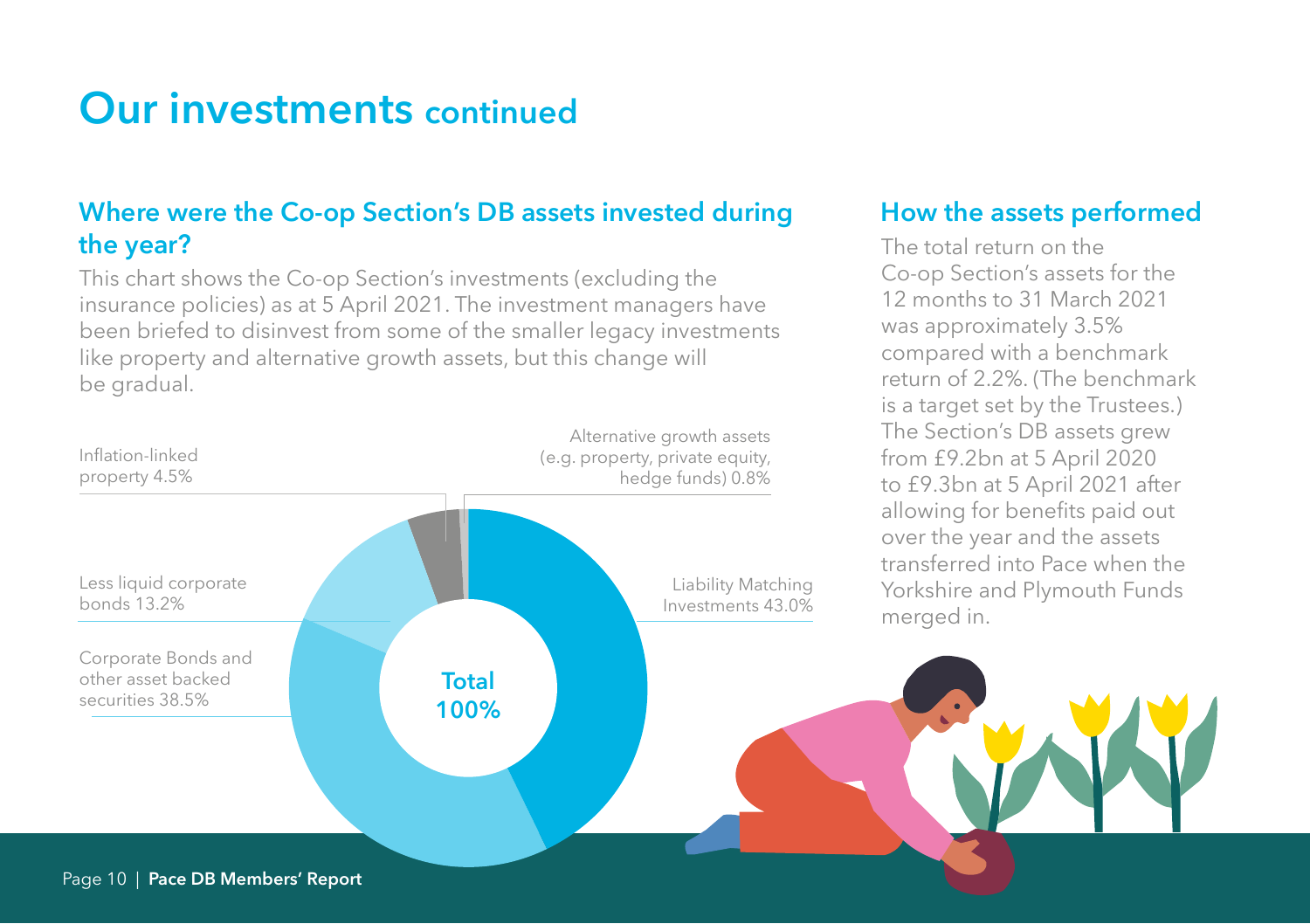### **Our investments continued**

#### **Where were the Co-op Section's DB assets invested during the year?**

This chart shows the Co-op Section's investments (excluding the insurance policies) as at 5 April 2021. The investment managers have been briefed to disinvest from some of the smaller legacy investments like property and alternative growth assets, but this change will be gradual.



#### **How the assets performed**

The total return on the Co-op Section's assets for the 12 months to 31 March 2021 was approximately 3.5% compared with a benchmark return of 2.2%. (The benchmark is a target set by the Trustees.) The Section's DB assets grew from £9.2bn at 5 April 2020 to £9.3bn at 5 April 2021 after allowing for benefits paid out over the year and the assets transferred into Pace when the Yorkshire and Plymouth Funds merged in.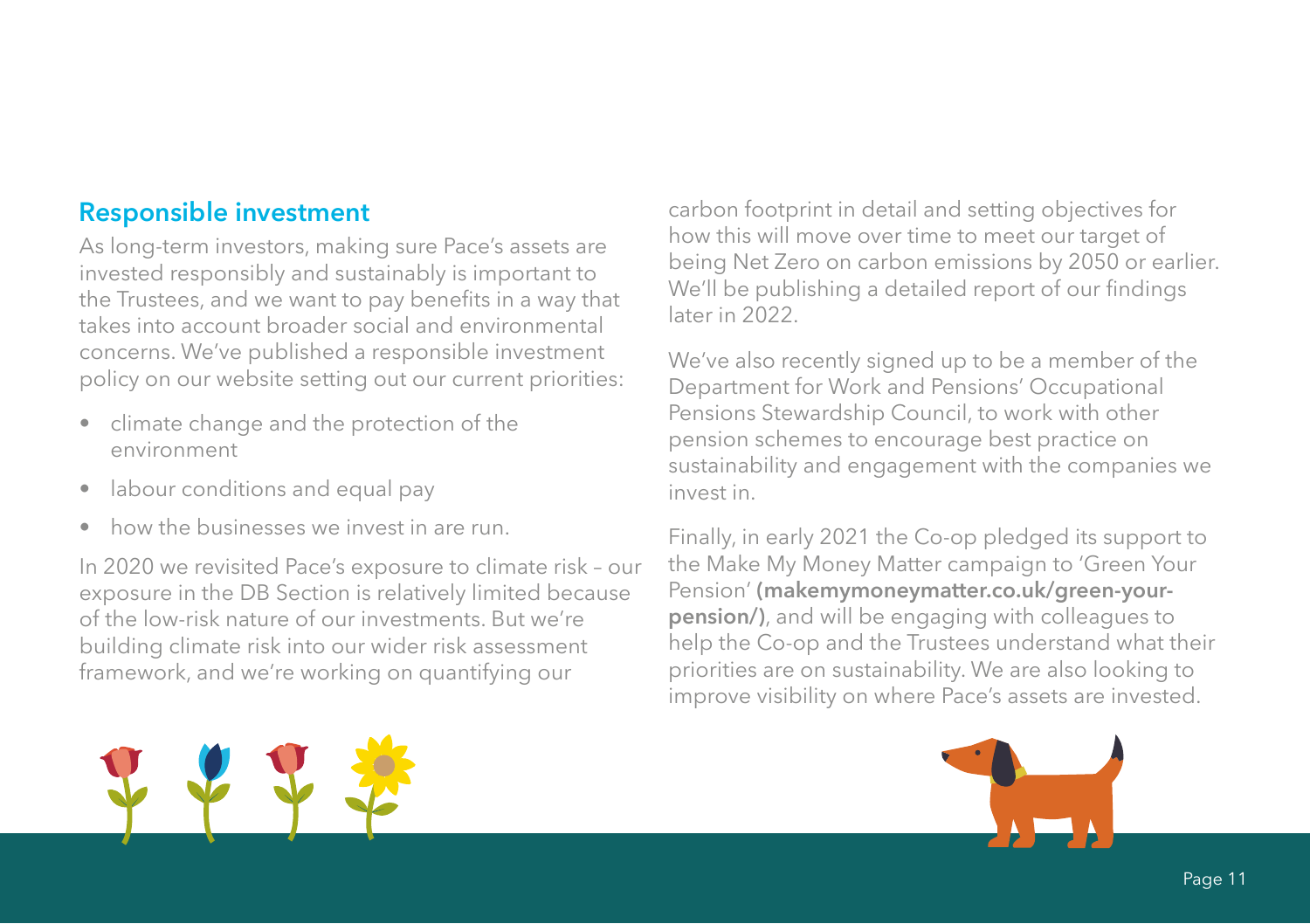#### **Responsible investment**

As long-term investors, making sure Pace's assets are invested responsibly and sustainably is important to the Trustees, and we want to pay benefits in a way that takes into account broader social and environmental concerns. We've published a responsible investment policy on our website setting out our current priorities:

- climate change and the protection of the environment
- labour conditions and equal pay
- how the businesses we invest in are run.

In 2020 we revisited Pace's exposure to climate risk – our exposure in the DB Section is relatively limited because of the low-risk nature of our investments. But we're building climate risk into our wider risk assessment framework, and we're working on quantifying our

carbon footprint in detail and setting objectives for how this will move over time to meet our target of being Net Zero on carbon emissions by 2050 or earlier. We'll be publishing a detailed report of our findings later in 2022.

We've also recently signed up to be a member of the Department for Work and Pensions' Occupational Pensions Stewardship Council, to work with other pension schemes to encourage best practice on sustainability and engagement with the companies we invest in.

Finally, in early 2021 the Co-op pledged its support to the Make My Money Matter campaign to 'Green Your Pension' **(makemymoneymatter.co.uk/green-yourpension/)**, and will be engaging with colleagues to help the Co-op and the Trustees understand what their priorities are on sustainability. We are also looking to improve visibility on where Pace's assets are invested.



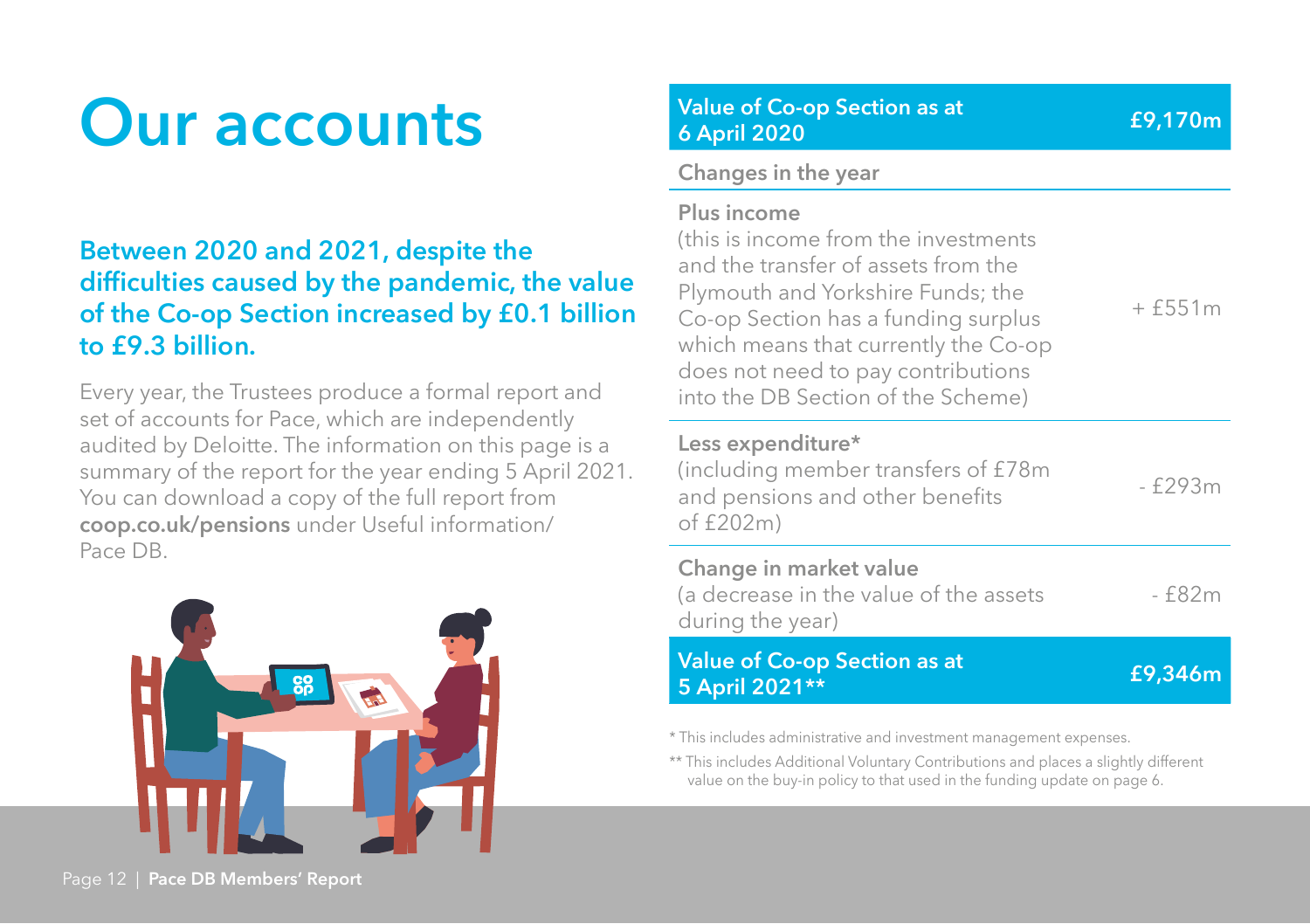### **Our accounts**

#### **Between 2020 and 2021, despite the difficulties caused by the pandemic, the value of the Co-op Section increased by £0.1 billion to £9.3 billion.**

Every year, the Trustees produce a formal report and set of accounts for Pace, which are independently audited by Deloitte. The information on this page is a summary of the report for the year ending 5 April 2021. You can download a copy of the full report from **coop.co.uk/pensions** under Useful information/ Pace DB.



**Value of Co-op Section as at 6 April 2020 £9,170m**

#### **Changes in the year**

| Plus income |  |  |  |
|-------------|--|--|--|
|-------------|--|--|--|

(this is income from the investments and the transfer of assets from the Plymouth and Yorkshire Funds; the Co-op Section has a funding surplus which means that currently the Co-op does not need to pay contributions into the DB Section of the Scheme)  $+ f551m$ 

#### **Less expenditure\***

(including member transfers of £78m and pensions and other benefits of  $f202m$  $- f293m$ 

#### **Change in market value**

| (a decrease in the value of the assets | - f82m |
|----------------------------------------|--------|
| during the year)                       |        |
|                                        |        |

#### **Value of Co-op Section as at 5 April 2021\*\* £9,346m**

\* This includes administrative and investment management expenses.

\*\* This includes Additional Voluntary Contributions and places a slightly different value on the buy-in policy to that used in the funding update on page 6.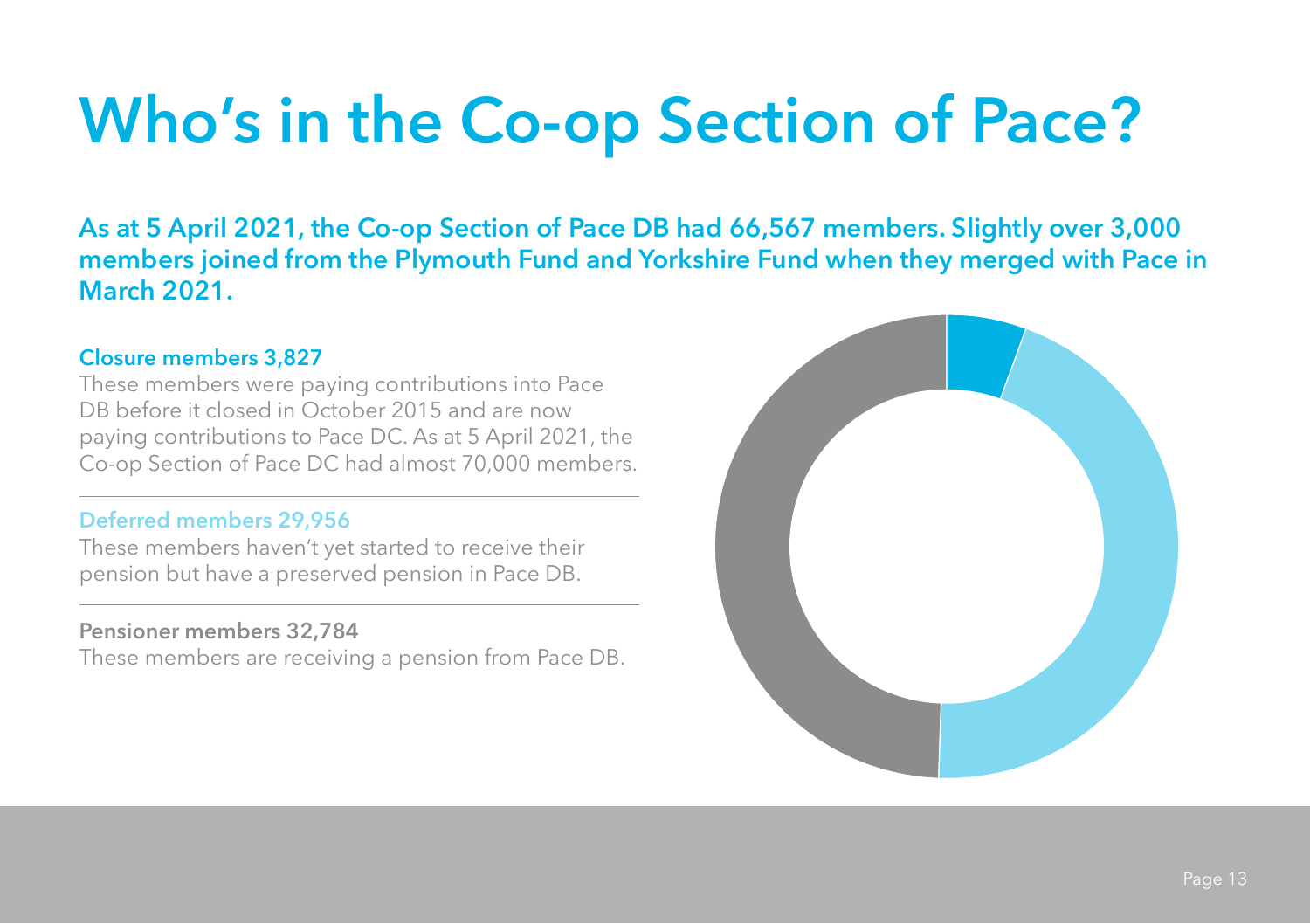## **Who's in the Co-op Section of Pace?**

**As at 5 April 2021, the Co-op Section of Pace DB had 66,567 members. Slightly over 3,000 members joined from the Plymouth Fund and Yorkshire Fund when they merged with Pace in March 2021.**

#### **Closure members 3,827**

These members were paying contributions into Pace DB before it closed in October 2015 and are now paying contributions to Pace DC. As at 5 April 2021, the Co-op Section of Pace DC had almost 70,000 members.

#### **Deferred members 29,956**

These members haven't yet started to receive their pension but have a preserved pension in Pace DB.

#### **Pensioner members 32,784**

These members are receiving a pension from Pace DB.

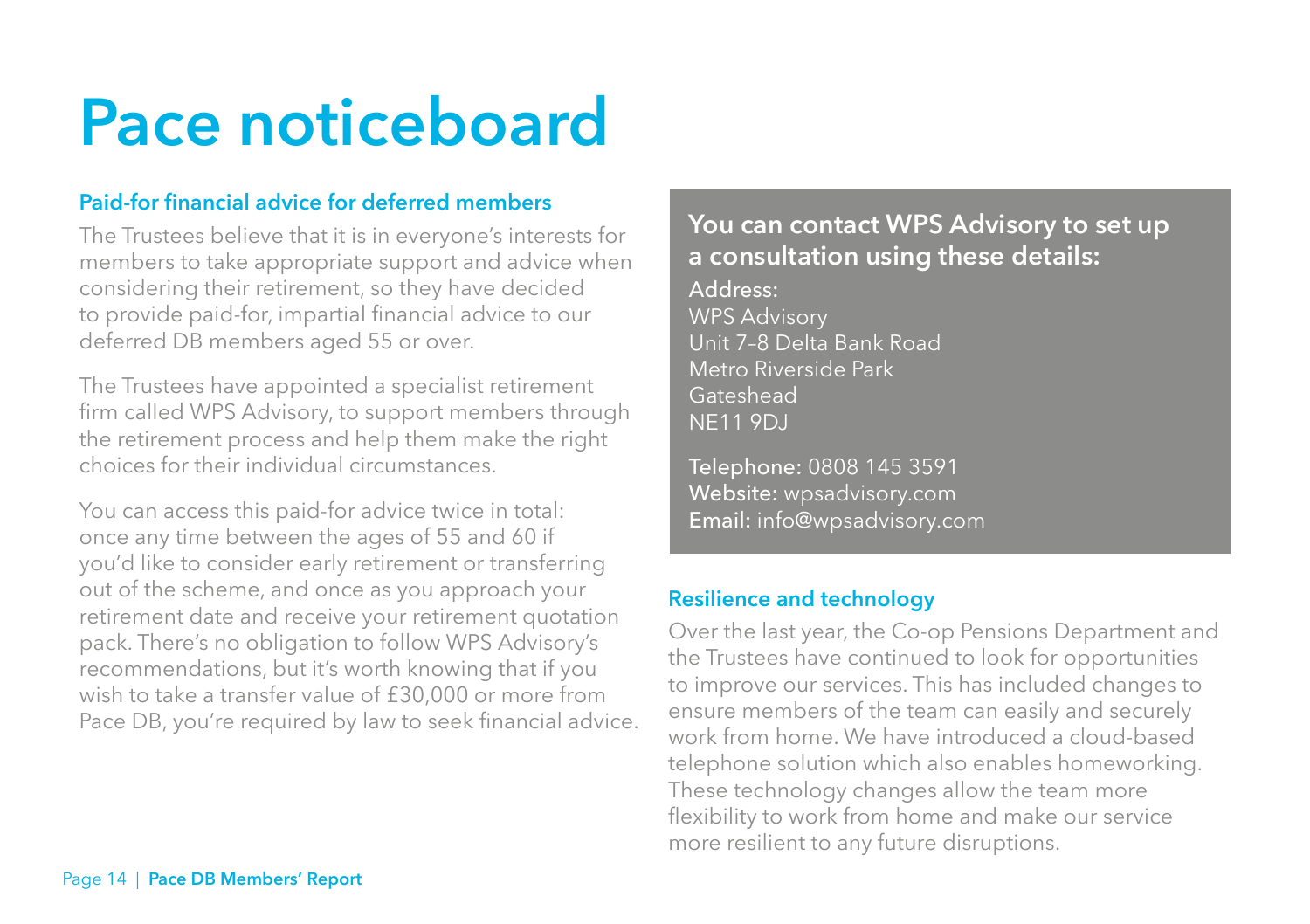## **Pace noticeboard**

#### **Paid-for financial advice for deferred members**

The Trustees believe that it is in everyone's interests for members to take appropriate support and advice when considering their retirement, so they have decided to provide paid-for, impartial financial advice to our deferred DB members aged 55 or over.

The Trustees have appointed a specialist retirement firm called WPS Advisory, to support members through the retirement process and help them make the right choices for their individual circumstances.

You can access this paid-for advice twice in total: once any time between the ages of 55 and 60 if you'd like to consider early retirement or transferring out of the scheme, and once as you approach your retirement date and receive your retirement quotation pack. There's no obligation to follow WPS Advisory's recommendations, but it's worth knowing that if you wish to take a transfer value of £30,000 or more from Pace DB, you're required by law to seek financial advice.

#### **You can contact WPS Advisory to set up a consultation using these details:**

Address: WPS Advisory Unit 7–8 Delta Bank Road Metro Riverside Park Gateshead NE11 9DJ

Telephone: 0808 145 3591 Website: wpsadvisory.com Email: info@wpsadvisory.com

#### **Resilience and technology**

Over the last year, the Co-op Pensions Department and the Trustees have continued to look for opportunities to improve our services. This has included changes to ensure members of the team can easily and securely work from home. We have introduced a cloud-based telephone solution which also enables homeworking. These technology changes allow the team more flexibility to work from home and make our service more resilient to any future disruptions.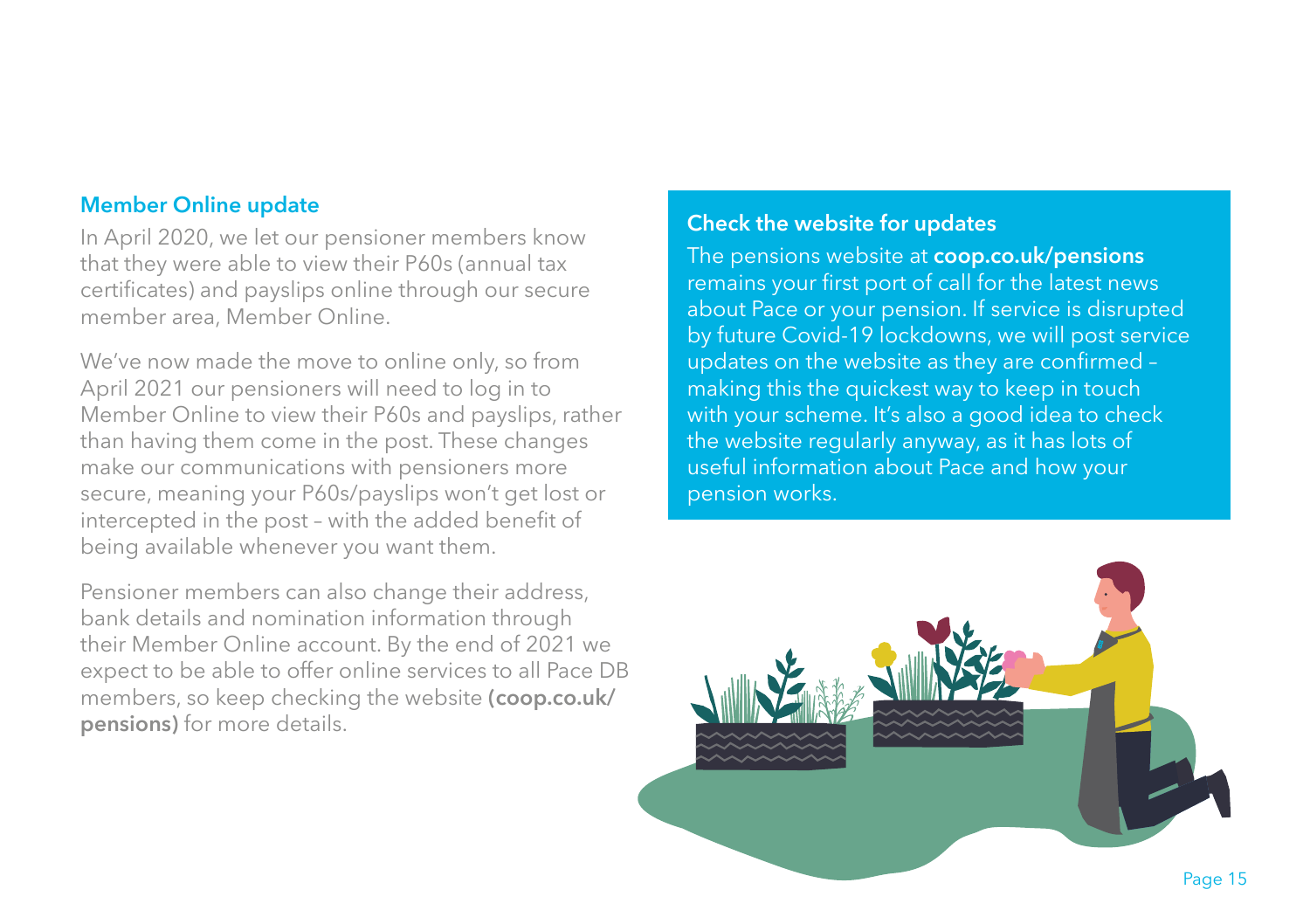#### **Member Online update**

In April 2020, we let our pensioner members know that they were able to view their P60s (annual tax certificates) and payslips online through our secure member area, Member Online.

We've now made the move to online only, so from April 2021 our pensioners will need to log in to Member Online to view their P60s and payslips, rather than having them come in the post. These changes make our communications with pensioners more secure, meaning your P60s/payslips won't get lost or intercepted in the post – with the added benefit of being available whenever you want them.

Pensioner members can also change their address, bank details and nomination information through their Member Online account. By the end of 2021 we expect to be able to offer online services to all Pace DB members, so keep checking the website **(coop.co.uk/ pensions)** for more details.

#### **Check the website for updates**

The pensions website at **coop.co.uk/pensions** remains your first port of call for the latest news about Pace or your pension. If service is disrupted by future Covid-19 lockdowns, we will post service updates on the website as they are confirmed – making this the quickest way to keep in touch with your scheme. It's also a good idea to check the website regularly anyway, as it has lots of useful information about Pace and how your pension works.

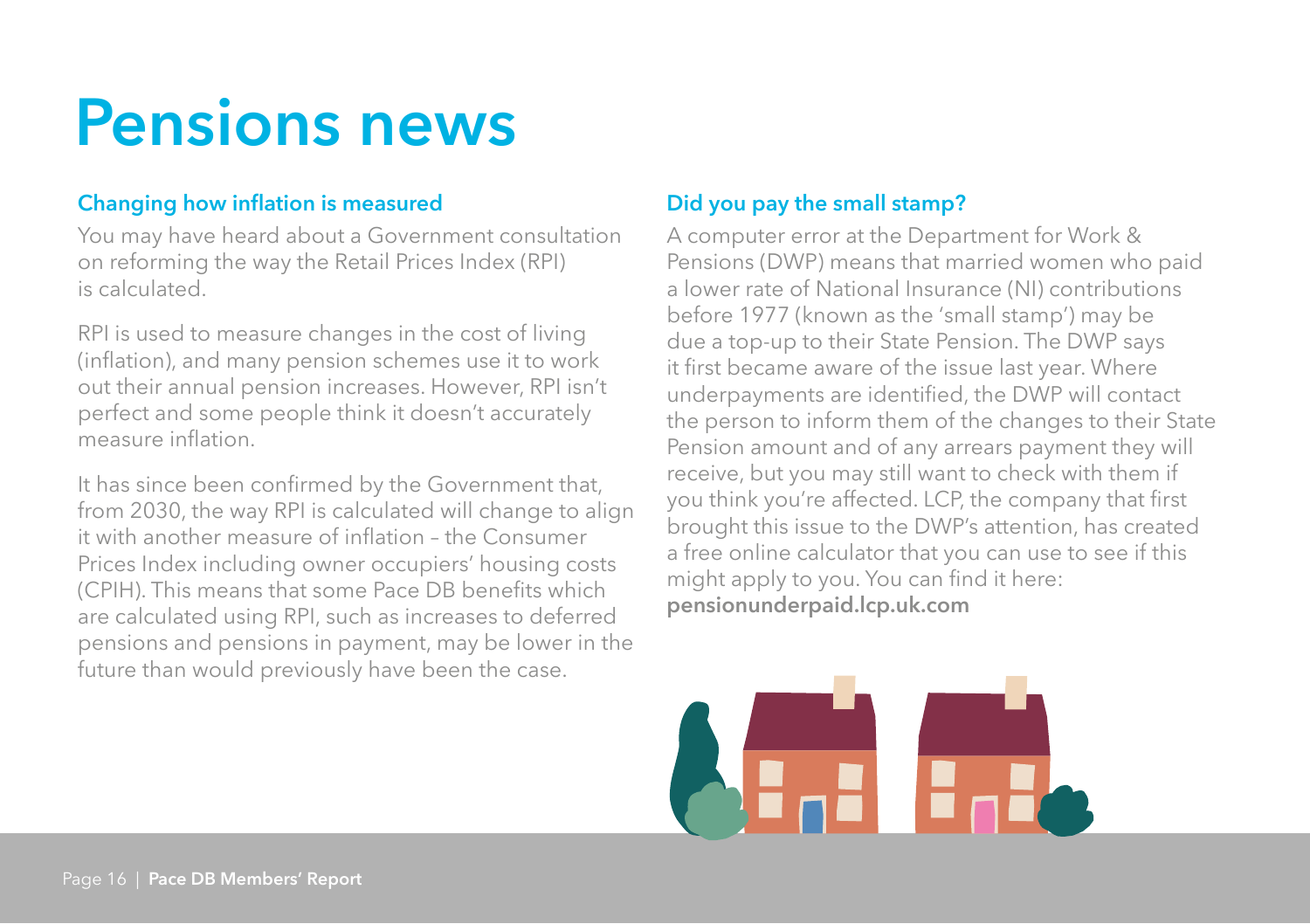### **Pensions news**

#### **Changing how inflation is measured**

You may have heard about a Government consultation on reforming the way the Retail Prices Index (RPI) is calculated.

RPI is used to measure changes in the cost of living (inflation), and many pension schemes use it to work out their annual pension increases. However, RPI isn't perfect and some people think it doesn't accurately measure inflation.

It has since been confirmed by the Government that, from 2030, the way RPI is calculated will change to align it with another measure of inflation – the Consumer Prices Index including owner occupiers' housing costs (CPIH). This means that some Pace DB benefits which are calculated using RPI, such as increases to deferred pensions and pensions in payment, may be lower in the future than would previously have been the case.

#### **Did you pay the small stamp?**

A computer error at the Department for Work & Pensions (DWP) means that married women who paid a lower rate of National Insurance (NI) contributions before 1977 (known as the 'small stamp') may be due a top-up to their State Pension. The DWP says it first became aware of the issue last year. Where underpayments are identified, the DWP will contact the person to inform them of the changes to their State Pension amount and of any arrears payment they will receive, but you may still want to check with them if you think you're affected. LCP, the company that first brought this issue to the DWP's attention, has created a free online calculator that you can use to see if this might apply to you. You can find it here: **pensionunderpaid.lcp.uk.com**

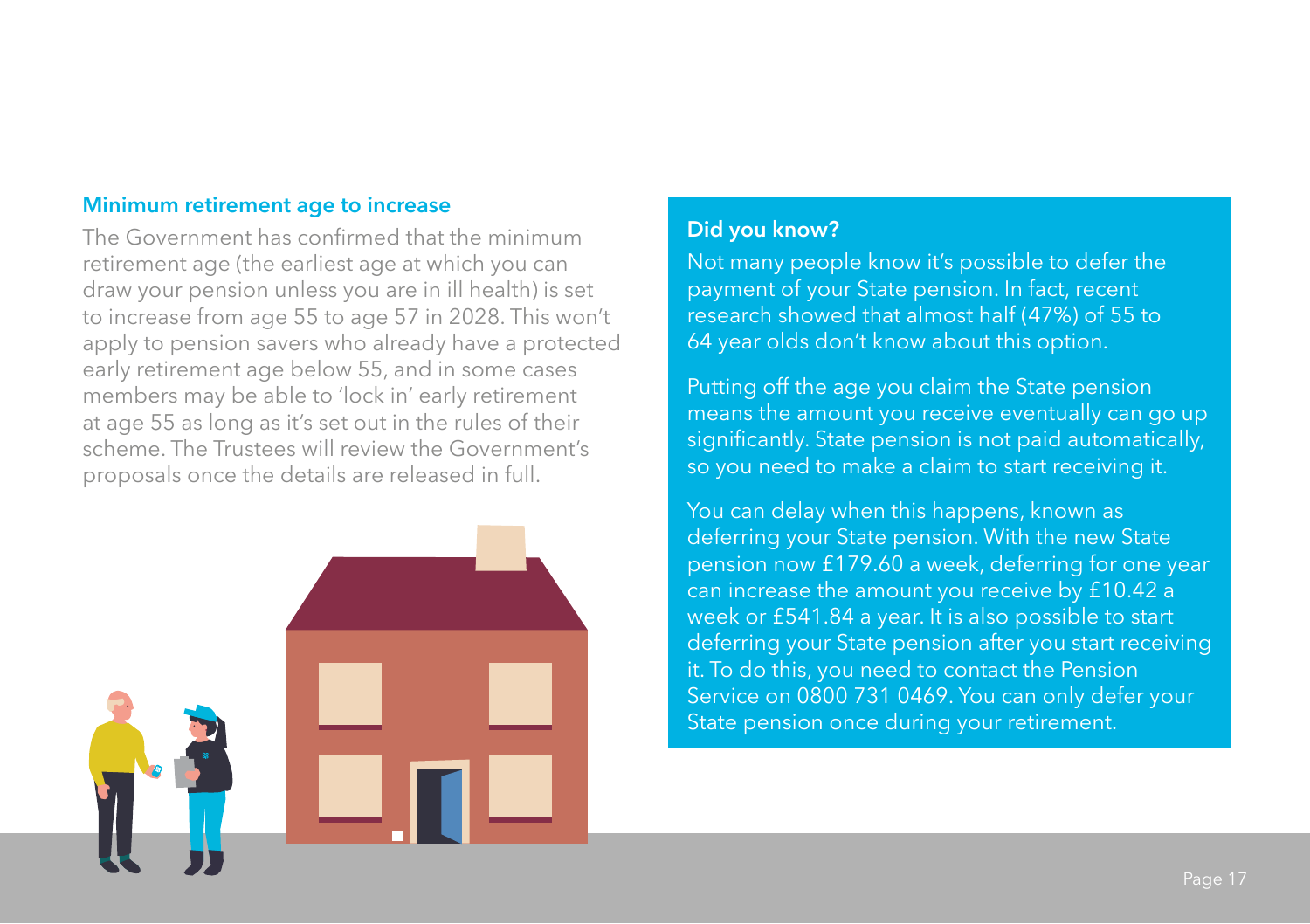#### **Minimum retirement age to increase**

The Government has confirmed that the minimum retirement age (the earliest age at which you can draw your pension unless you are in ill health) is set to increase from age 55 to age 57 in 2028. This won't apply to pension savers who already have a protected early retirement age below 55, and in some cases members may be able to 'lock in' early retirement at age 55 as long as it's set out in the rules of their scheme. The Trustees will review the Government's proposals once the details are released in full.



#### **Did you know?**

Not many people know it's possible to defer the payment of your State pension. In fact, recent research showed that almost half (47%) of 55 to 64 year olds don't know about this option.

Putting off the age you claim the State pension means the amount you receive eventually can go up significantly. State pension is not paid automatically, so you need to make a claim to start receiving it.

You can delay when this happens, known as deferring your State pension. With the new State pension now £179.60 a week, deferring for one year can increase the amount you receive by £10.42 a week or £541.84 a year. It is also possible to start deferring your State pension after you start receiving it. To do this, you need to contact the Pension Service on 0800 731 0469. You can only defer your State pension once during your retirement.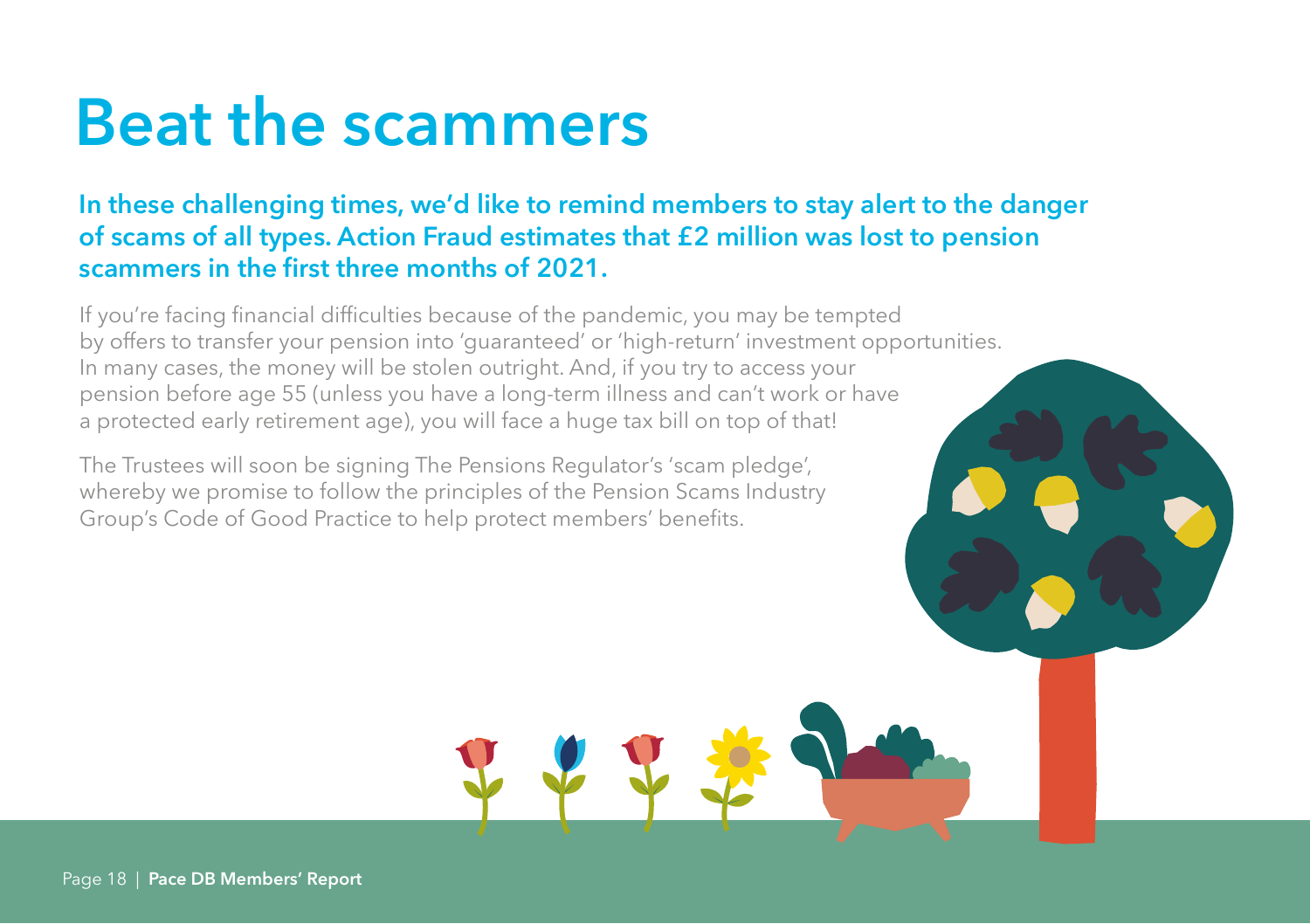### **Beat the scammers**

#### **In these challenging times, we'd like to remind members to stay alert to the danger of scams of all types. Action Fraud estimates that £2 million was lost to pension scammers in the first three months of 2021.**

If you're facing financial difficulties because of the pandemic, you may be tempted by offers to transfer your pension into 'guaranteed' or 'high-return' investment opportunities. In many cases, the money will be stolen outright. And, if you try to access your pension before age 55 (unless you have a long-term illness and can't work or have a protected early retirement age), you will face a huge tax bill on top of that!

The Trustees will soon be signing The Pensions Regulator's 'scam pledge', whereby we promise to follow the principles of the Pension Scams Industry Group's Code of Good Practice to help protect members' benefits.

Page 18 | **Pace DB Members' Report**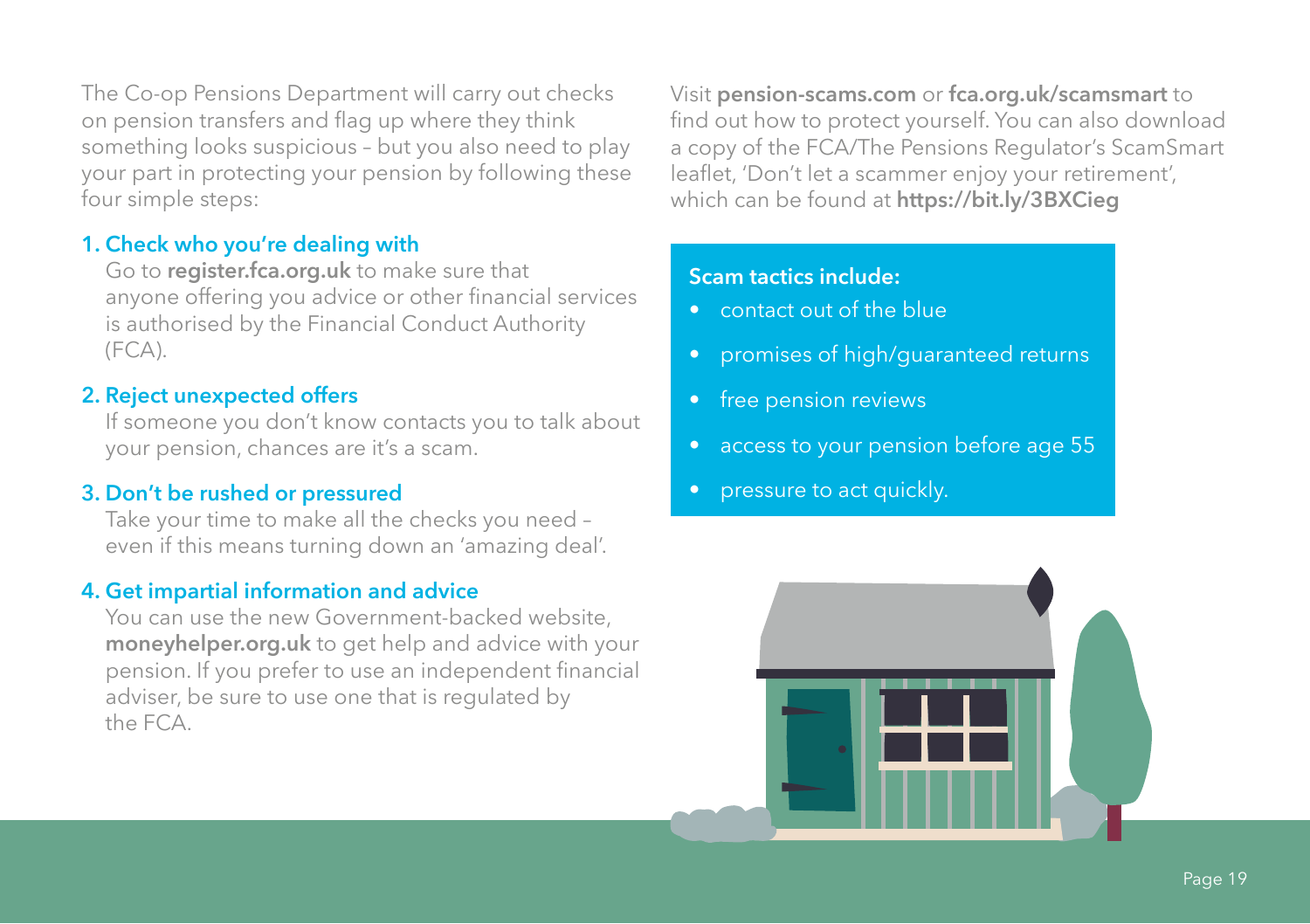The Co-op Pensions Department will carry out checks on pension transfers and flag up where they think something looks suspicious – but you also need to play your part in protecting your pension by following these four simple steps:

#### **1. Check who you're dealing with**

Go to **register.fca.org.uk** to make sure that anyone offering you advice or other financial services is authorised by the Financial Conduct Authority (FCA).

#### **2. Reject unexpected offers**

If someone you don't know contacts you to talk about your pension, chances are it's a scam.

#### **3. Don't be rushed or pressured**

Take your time to make all the checks you need – even if this means turning down an 'amazing deal'.

#### **4. Get impartial information and advice**

You can use the new Government-backed website, **moneyhelper.org.uk** to get help and advice with your pension. If you prefer to use an independent financial adviser, be sure to use one that is regulated by the FCA.

Visit **pension-scams.com** or **fca.org.uk/scamsmart** to find out how to protect yourself. You can also download a copy of the FCA/The Pensions Regulator's ScamSmart leaflet, 'Don't let a scammer enjoy your retirement', which can be found at **https://bit.ly/3BXCieg**

#### **Scam tactics include:**

- contact out of the blue
- promises of high/guaranteed returns
- free pension reviews
- access to your pension before age 55
- pressure to act quickly.